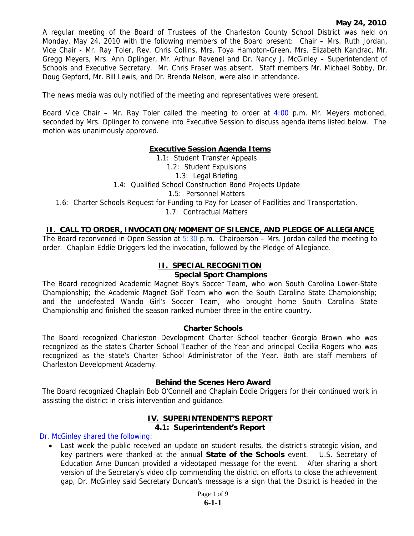A regular meeting of the Board of Trustees of the Charleston County School District was held on Monday, May 24, 2010 with the following members of the Board present: Chair – Mrs. Ruth Jordan, Vice Chair - Mr. Ray Toler, Rev. Chris Collins, Mrs. Toya Hampton-Green, Mrs. Elizabeth Kandrac, Mr. Gregg Meyers, Mrs. Ann Oplinger, Mr. Arthur Ravenel and Dr. Nancy J. McGinley – Superintendent of Schools and Executive Secretary. Mr. Chris Fraser was absent. Staff members Mr. Michael Bobby, Dr. Doug Gepford, Mr. Bill Lewis, and Dr. Brenda Nelson, were also in attendance.

The news media was duly notified of the meeting and representatives were present.

Board Vice Chair – Mr. Ray Toler called the meeting to order at  $4:00$  p.m. Mr. Meyers motioned, seconded by Mrs. Oplinger to convene into Executive Session to discuss agenda items listed below. The motion was unanimously approved.

### **Executive Session Agenda Items**

1.1: Student Transfer Appeals 1.2: Student Expulsions 1.3: Legal Briefing 1.4: Qualified School Construction Bond Projects Update 1.5: Personnel Matters 1.6: Charter Schools Request for Funding to Pay for Leaser of Facilities and Transportation. 1.7: Contractual Matters

### **II. CALL TO ORDER, INVOCATION/MOMENT OF SILENCE, AND PLEDGE OF ALLEGIANCE**

The Board reconvened in Open Session at  $5:30$  p.m. Chairperson – Mrs. Jordan called the meeting to order. Chaplain Eddie Driggers led the invocation, followed by the Pledge of Allegiance.

## **II. SPECIAL RECOGNITION**

#### **Special Sport Champions**

The Board recognized Academic Magnet Boy's Soccer Team, who won South Carolina Lower-State Championship; the Academic Magnet Golf Team who won the South Carolina State Championship; and the undefeated Wando Girl's Soccer Team, who brought home South Carolina State Championship and finished the season ranked number three in the entire country.

#### **Charter Schools**

The Board recognized Charleston Development Charter School teacher Georgia Brown who was recognized as the state's Charter School Teacher of the Year and principal Cecilia Rogers who was recognized as the state's Charter School Administrator of the Year. Both are staff members of Charleston Development Academy.

#### **Behind the Scenes Hero Award**

The Board recognized Chaplain Bob O'Connell and Chaplain Eddie Driggers for their continued work in assisting the district in crisis intervention and guidance.

#### **IV. SUPERINTENDENT'S REPORT 4.1: Superintendent's Report**

Dr. McGinley shared the following:

• Last week the public received an update on student results, the district's strategic vision, and key partners were thanked at the annual **State of the Schools** event. U.S. Secretary of Education Arne Duncan provided a videotaped message for the event. After sharing a short version of the Secretary's video clip commending the district on efforts to close the achievement gap, Dr. McGinley said Secretary Duncan's message is a sign that the District is headed in the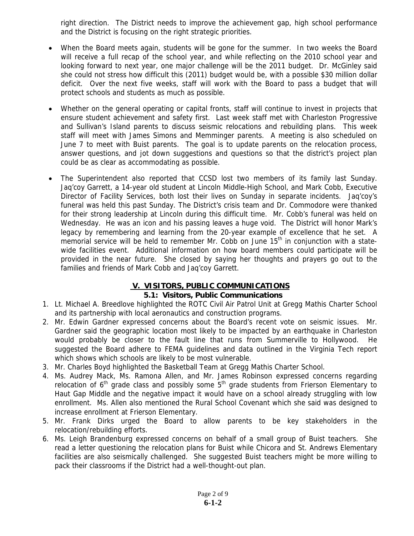right direction. The District needs to improve the achievement gap, high school performance and the District is focusing on the right strategic priorities.

- When the Board meets again, students will be gone for the summer. In two weeks the Board will receive a full recap of the school year, and while reflecting on the 2010 school year and looking forward to next year, one major challenge will be the 2011 budget. Dr. McGinley said she could not stress how difficult this (2011) budget would be, with a possible \$30 million dollar deficit. Over the next five weeks, staff will work with the Board to pass a budget that will protect schools and students as much as possible.
- Whether on the general operating or capital fronts, staff will continue to invest in projects that ensure student achievement and safety first. Last week staff met with Charleston Progressive and Sullivan's Island parents to discuss seismic relocations and rebuilding plans. This week staff will meet with James Simons and Memminger parents. A meeting is also scheduled on June 7 to meet with Buist parents. The goal is to update parents on the relocation process, answer questions, and jot down suggestions and questions so that the district's project plan could be as clear as accommodating as possible.
- The Superintendent also reported that CCSD lost two members of its family last Sunday. Jaq'coy Garrett, a 14-year old student at Lincoln Middle-High School, and Mark Cobb, Executive Director of Facility Services, both lost their lives on Sunday in separate incidents. Jaq'coy's funeral was held this past Sunday. The District's crisis team and Dr. Commodore were thanked for their strong leadership at Lincoln during this difficult time. Mr. Cobb's funeral was held on Wednesday. He was an icon and his passing leaves a huge void. The District will honor Mark's legacy by remembering and learning from the 20-year example of excellence that he set. A memorial service will be held to remember Mr. Cobb on June  $15<sup>th</sup>$  in conjunction with a statewide facilities event. Additional information on how board members could participate will be provided in the near future. She closed by saying her thoughts and prayers go out to the families and friends of Mark Cobb and Jaq'coy Garrett.

# **V. VISITORS, PUBLIC COMMUNICATIONS**

## **5.1: Visitors, Public Communications**

- 1. Lt. Michael A. Breedlove highlighted the ROTC Civil Air Patrol Unit at Gregg Mathis Charter School and its partnership with local aeronautics and construction programs.
- 2. Mr. Edwin Gardner expressed concerns about the Board's recent vote on seismic issues. Mr. Gardner said the geographic location most likely to be impacted by an earthquake in Charleston would probably be closer to the fault line that runs from Summerville to Hollywood. He suggested the Board adhere to FEMA guidelines and data outlined in the Virginia Tech report which shows which schools are likely to be most vulnerable.
- 3. Mr. Charles Boyd highlighted the Basketball Team at Gregg Mathis Charter School.
- 4. Ms. Audrey Mack, Ms. Ramona Allen, and Mr. James Robinson expressed concerns regarding relocation of  $6<sup>th</sup>$  grade class and possibly some  $5<sup>th</sup>$  grade students from Frierson Elementary to Haut Gap Middle and the negative impact it would have on a school already struggling with low enrollment. Ms. Allen also mentioned the Rural School Covenant which she said was designed to increase enrollment at Frierson Elementary.
- 5. Mr. Frank Dirks urged the Board to allow parents to be key stakeholders in the relocation/rebuilding efforts.
- 6. Ms. Leigh Brandenburg expressed concerns on behalf of a small group of Buist teachers. She read a letter questioning the relocation plans for Buist while Chicora and St. Andrews Elementary facilities are also seismically challenged. She suggested Buist teachers might be more willing to pack their classrooms if the District had a well-thought-out plan.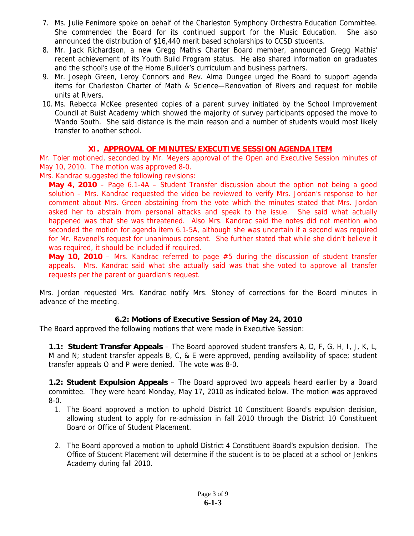- 7. Ms. Julie Fenimore spoke on behalf of the Charleston Symphony Orchestra Education Committee. She commended the Board for its continued support for the Music Education. She also announced the distribution of \$16,440 merit based scholarships to CCSD students.
- 8. Mr. Jack Richardson, a new Gregg Mathis Charter Board member, announced Gregg Mathis' recent achievement of its Youth Build Program status. He also shared information on graduates and the school's use of the Home Builder's curriculum and business partners.
- 9. Mr. Joseph Green, Leroy Connors and Rev. Alma Dungee urged the Board to support agenda items for Charleston Charter of Math & Science—Renovation of Rivers and request for mobile units at Rivers.
- 10. Ms. Rebecca McKee presented copies of a parent survey initiated by the School Improvement Council at Buist Academy which showed the majority of survey participants opposed the move to Wando South. She said distance is the main reason and a number of students would most likely transfer to another school.

## **XI. APPROVAL OF MINUTES/EXECUTIVE SESSION AGENDA ITEM**

Mr. Toler motioned, seconded by Mr. Meyers approval of the Open and Executive Session minutes of May 10, 2010. The motion was approved 8-0.

Mrs. Kandrac suggested the following revisions:

**May 4, 2010** – Page 6.1-4A – Student Transfer discussion about the option not being a good solution – Mrs. Kandrac requested the video be reviewed to verify Mrs. Jordan's response to her comment about Mrs. Green abstaining from the vote which the minutes stated that Mrs. Jordan asked her to abstain from personal attacks and speak to the issue. She said what actually happened was that she was threatened. Also Mrs. Kandrac said the notes did not mention who seconded the motion for agenda item 6.1-5A, although she was uncertain if a second was required for Mr. Ravenel's request for unanimous consent. She further stated that while she didn't believe it was required, it should be included if required.

**May 10, 2010** – Mrs. Kandrac referred to page #5 during the discussion of student transfer appeals. Mrs. Kandrac said what she actually said was that she voted to approve all transfer requests per the parent or guardian's request.

Mrs. Jordan requested Mrs. Kandrac notify Mrs. Stoney of corrections for the Board minutes in advance of the meeting.

# **6.2: Motions of Executive Session of May 24, 2010**

The Board approved the following motions that were made in Executive Session:

**1.1: Student Transfer Appeals** – The Board approved student transfers A, D, F, G, H, I, J, K, L, M and N; student transfer appeals B, C, & E were approved, pending availability of space; student transfer appeals O and P were denied. The vote was 8-0.

**1.2: Student Expulsion Appeals** – The Board approved two appeals heard earlier by a Board committee. They were heard Monday, May 17, 2010 as indicated below. The motion was approved 8-0.

- 1. The Board approved a motion to uphold District 10 Constituent Board's expulsion decision, allowing student to apply for re-admission in fall 2010 through the District 10 Constituent Board or Office of Student Placement.
- 2. The Board approved a motion to uphold District 4 Constituent Board's expulsion decision. The Office of Student Placement will determine if the student is to be placed at a school or Jenkins Academy during fall 2010.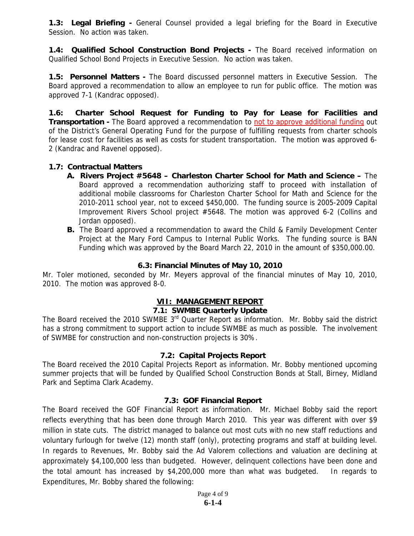**1.3: Legal Briefing -** General Counsel provided a legal briefing for the Board in Executive Session. No action was taken.

**1.4: Qualified School Construction Bond Projects -** The Board received information on Qualified School Bond Projects in Executive Session. No action was taken.

**1.5: Personnel Matters -** The Board discussed personnel matters in Executive Session. The Board approved a recommendation to allow an employee to run for public office. The motion was approved 7-1 (Kandrac opposed).

**1.6: Charter School Request for Funding to Pay for Lease for Facilities and Transportation -** The Board approved a recommendation to not to approve additional funding out of the District's General Operating Fund for the purpose of fulfilling requests from charter schools for lease cost for facilities as well as costs for student transportation. The motion was approved 6- 2 (Kandrac and Ravenel opposed).

## **1.7: Contractual Matters**

- **A. Rivers Project #5648 Charleston Charter School for Math and Science** The Board approved a recommendation authorizing staff to proceed with installation of additional mobile classrooms for Charleston Charter School for Math and Science for the 2010-2011 school year, not to exceed \$450,000. The funding source is 2005-2009 Capital Improvement Rivers School project #5648. The motion was approved 6-2 (Collins and Jordan opposed).
- **B.** The Board approved a recommendation to award the Child & Family Development Center Project at the Mary Ford Campus to Internal Public Works. The funding source is BAN Funding which was approved by the Board March 22, 2010 in the amount of \$350,000.00.

## **6.3: Financial Minutes of May 10, 2010**

Mr. Toler motioned, seconded by Mr. Meyers approval of the financial minutes of May 10, 2010, 2010. The motion was approved 8-0.

## **VII: MANAGEMENT REPORT**

### **7.1: SWMBE Quarterly Update**

The Board received the 2010 SWMBE 3<sup>rd</sup> Quarter Report as information. Mr. Bobby said the district has a strong commitment to support action to include SWMBE as much as possible. The involvement of SWMBE for construction and non-construction projects is 30%.

### **7.2: Capital Projects Report**

The Board received the 2010 Capital Projects Report as information. Mr. Bobby mentioned upcoming summer projects that will be funded by Qualified School Construction Bonds at Stall, Birney, Midland Park and Septima Clark Academy.

### **7.3: GOF Financial Report**

The Board received the GOF Financial Report as information. Mr. Michael Bobby said the report reflects everything that has been done through March 2010. This year was different with over \$9 million in state cuts. The district managed to balance out most cuts with no new staff reductions and voluntary furlough for twelve (12) month staff (only), protecting programs and staff at building level. In regards to Revenues, Mr. Bobby said the Ad Valorem collections and valuation are declining at approximately \$4,100,000 less than budgeted. However, delinquent collections have been done and the total amount has increased by \$4,200,000 more than what was budgeted. In regards to Expenditures, Mr. Bobby shared the following: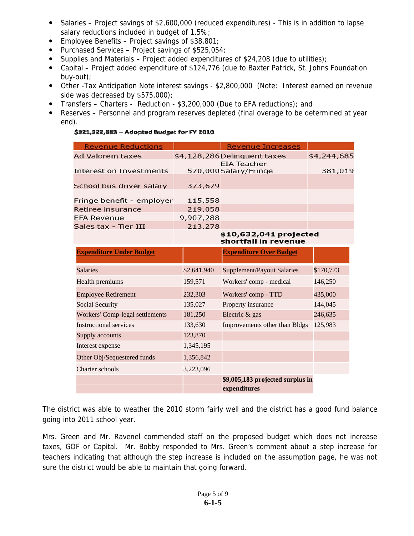- Salaries Project savings of \$2,600,000 (reduced expenditures) This is in addition to lapse salary reductions included in budget of 1.5%;
- **Employee Benefits Project savings of \$38,801;**
- Purchased Services Project savings of  $$525,054$ ;
- Supplies and Materials Project added expenditures of \$24,208 (due to utilities);
- Capital Project added expenditure of \$124,776 (due to Baxter Patrick, St. Johns Foundation buy-out);
- Other -Tax Anticipation Note interest savings \$2,800,000 (Note: Interest earned on revenue side was decreased by \$575,000);
- Transfers Charters Reduction \$3,200,000 (Due to EFA reductions); and
- Reserves Personnel and program reserves depleted (final overage to be determined at year end).

## \$321,322,883 - Adopted Budget for FY 2010

| <b>Revenue Reductions</b>              |             | <b>Revenue Increases</b>                         |             |
|----------------------------------------|-------------|--------------------------------------------------|-------------|
| <b>Ad Valorem taxes</b>                |             | \$4,128,286 Delinquent taxes                     | \$4,244,685 |
| <b>Interest on Investments</b>         |             | <b>EIA Teacher</b><br>570,000Salary/Fringe       | 381,019     |
| School bus driver salary               | 373,679     |                                                  |             |
| Fringe benefit - employer              | 115,558     |                                                  |             |
| Retiree insurance                      | 219,058     |                                                  |             |
| <b>EFA Revenue</b>                     | 9,907,288   |                                                  |             |
| Sales tax - Tier III                   | 213,278     |                                                  |             |
|                                        |             | \$10,632,041 projected<br>shortfall in revenue   |             |
| <b>Expenditure Under Budget</b>        |             | <b>Expenditure Over Budget</b>                   |             |
| <b>Salaries</b>                        | \$2,641,940 | <b>Supplement/Payout Salaries</b>                | \$170,773   |
| Health premiums                        | 159,571     | Workers' comp - medical                          | 146,250     |
| <b>Employee Retirement</b>             | 232,303     | Workers' comp - TTD                              | 435,000     |
| <b>Social Security</b>                 | 135,027     | Property insurance                               | 144,045     |
| <b>Workers' Comp-legal settlements</b> | 181,250     | Electric & gas                                   | 246,635     |
| Instructional services                 | 133,630     | Improvements other than Bldgs                    | 125,983     |
| Supply accounts                        | 123,870     |                                                  |             |
| Interest expense                       | 1,345,195   |                                                  |             |
| Other Obj/Sequestered funds            | 1,356,842   |                                                  |             |
| Charter schools                        | 3,223,096   |                                                  |             |
|                                        |             | \$9,005,183 projected surplus in<br>expenditures |             |

The district was able to weather the 2010 storm fairly well and the district has a good fund balance going into 2011 school year.

Mrs. Green and Mr. Ravenel commended staff on the proposed budget which does not increase taxes, GOF or Capital. Mr. Bobby responded to Mrs. Green's comment about a step increase for teachers indicating that although the step increase is included on the assumption page, he was not sure the district would be able to maintain that going forward.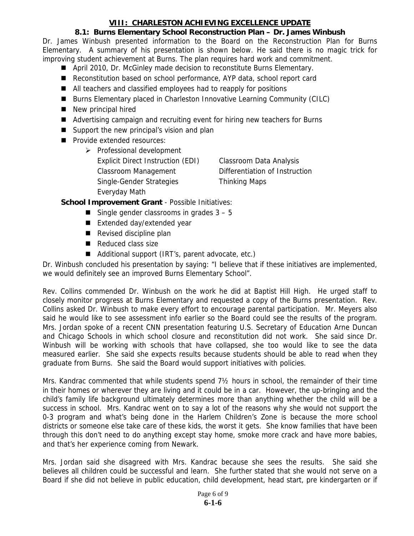# **VIII: CHARLESTON ACHIEVING EXCELLENCE UPDATE**

# **8.1: Burns Elementary School Reconstruction Plan – Dr. James Winbush**

Dr. James Winbush presented information to the Board on the Reconstruction Plan for Burns Elementary. A summary of his presentation is shown below. He said there is no magic trick for improving student achievement at Burns. The plan requires hard work and commitment.

- April 2010, Dr. McGinley made decision to reconstitute Burns Elementary.
- Reconstitution based on school performance, AYP data, school report card
- All teachers and classified employees had to reapply for positions
- Burns Elementary placed in Charleston Innovative Learning Community (CILC)
- New principal hired
- Advertising campaign and recruiting event for hiring new teachers for Burns
- Support the new principal's vision and plan
- **Provide extended resources:** 
	- $\triangleright$  Professional development Explicit Direct Instruction (EDI) Classroom Data Analysis Classroom Management Differentiation of Instruction Single-Gender Strategies Thinking Maps Everyday Math

**School Improvement Grant** - Possible Initiatives:

- Single gender classrooms in grades  $3 5$
- Extended day/extended year
- Revised discipline plan
- Reduced class size
- Additional support (IRT's, parent advocate, etc.)

Dr. Winbush concluded his presentation by saying: "I believe that if these initiatives are implemented, we would definitely see an improved Burns Elementary School".

Rev. Collins commended Dr. Winbush on the work he did at Baptist Hill High. He urged staff to closely monitor progress at Burns Elementary and requested a copy of the Burns presentation. Rev. Collins asked Dr. Winbush to make every effort to encourage parental participation. Mr. Meyers also said he would like to see assessment info earlier so the Board could see the results of the program. Mrs. Jordan spoke of a recent CNN presentation featuring U.S. Secretary of Education Arne Duncan and Chicago Schools in which school closure and reconstitution did not work. She said since Dr. Winbush will be working with schools that have collapsed, she too would like to see the data measured earlier. She said she expects results because students should be able to read when they graduate from Burns. She said the Board would support initiatives with policies.

Mrs. Kandrac commented that while students spend 7½ hours in school, the remainder of their time in their homes or wherever they are living and it could be in a car. However, the up-bringing and the child's family life background ultimately determines more than anything whether the child will be a success in school. Mrs. Kandrac went on to say a lot of the reasons why she would not support the 0-3 program and what's being done in the Harlem Children's Zone is because the more school districts or someone else take care of these kids, the worst it gets. She know families that have been through this don't need to do anything except stay home, smoke more crack and have more babies, and that's her experience coming from Newark.

Mrs. Jordan said she disagreed with Mrs. Kandrac because she sees the results. She said she believes all children could be successful and learn. She further stated that she would not serve on a Board if she did not believe in public education, child development, head start, pre kindergarten or if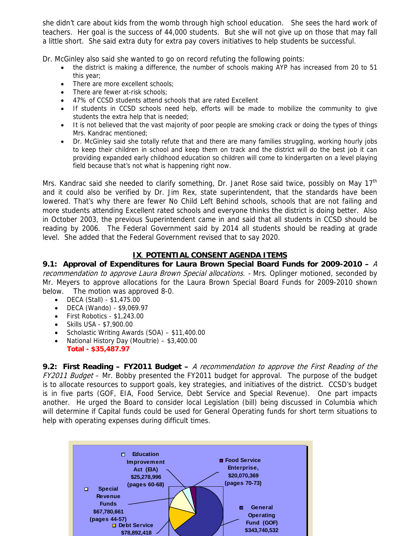she didn't care about kids from the womb through high school education. She sees the hard work of teachers. Her goal is the success of 44,000 students. But she will not give up on those that may fall a little short. She said extra duty for extra pay covers initiatives to help students be successful.

Dr. McGinley also said she wanted to go on record refuting the following points:

- the district is making a difference, the number of schools making AYP has increased from 20 to 51 this year;
- There are more excellent schools:
- There are fewer at-risk schools;
- 47% of CCSD students attend schools that are rated Excellent
- If students in CCSD schools need help, efforts will be made to mobilize the community to give students the extra help that is needed;
- It is not believed that the vast majority of poor people are smoking crack or doing the types of things Mrs. Kandrac mentioned;
- Dr. McGinley said she totally refute that and there are many families struggling, working hourly jobs to keep their children in school and keep them on track and the district will do the best job it can providing expanded early childhood education so children will come to kindergarten on a level playing field because that's not what is happening right now.

Mrs. Kandrac said she needed to clarify something, Dr. Janet Rose said twice, possibly on May 17<sup>th</sup> and it could also be verified by Dr. Jim Rex, state superintendent, that the standards have been lowered. That's why there are fewer No Child Left Behind schools, schools that are not failing and more students attending Excellent rated schools and everyone thinks the district is doing better. Also in October 2003, the previous Superintendent came in and said that all students in CCSD should be reading by 2006. The Federal Government said by 2014 all students should be reading at grade level. She added that the Federal Government revised that to say 2020.

## **IX**. **POTENTIAL CONSENT AGENDA ITEMS**

**9.1: Approval of Expenditures for Laura Brown Special Board Funds for 2009-2010 –** A recommendation to approve Laura Brown Special allocations. - Mrs. Oplinger motioned, seconded by Mr. Meyers to approve allocations for the Laura Brown Special Board Funds for 2009-2010 shown below. The motion was approved 8-0.

- DECA (Stall) \$1,475.00
- DECA (Wando) \$9,069.97
- First Robotics \$1,243.00
- Skills USA \$7,900.00
- Scholastic Writing Awards  $(SOA) $11,400.00$
- National History Day (Moultrie) \$3,400.00 **Total - \$35,487.97**

**9.2: First Reading – FY2011 Budget –** A recommendation to approve the First Reading of the FY2011 Budget - Mr. Bobby presented the FY2011 budget for approval. The purpose of the budget is to allocate resources to support goals, key strategies, and initiatives of the district. CCSD's budget is in five parts (GOF, EIA, Food Service, Debt Service and Special Revenue). One part impacts another. He urged the Board to consider local Legislation (bill) being discussed in Columbia which will determine if Capital funds could be used for General Operating funds for short term situations to help with operating expenses during difficult times.

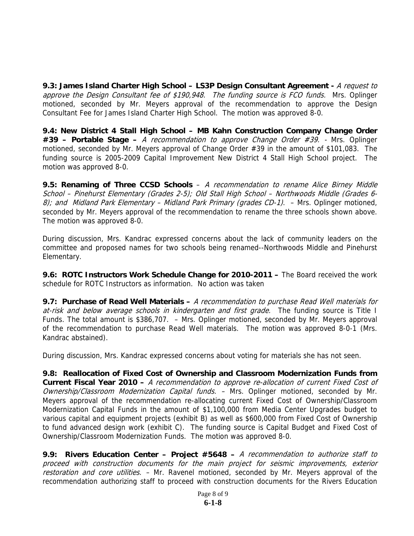**9.3: James Island Charter High School – LS3P Design Consultant Agreement -** A request to approve the Design Consultant fee of \$190,948. The funding source is FCO funds. Mrs. Oplinger motioned, seconded by Mr. Meyers approval of the recommendation to approve the Design Consultant Fee for James Island Charter High School. The motion was approved 8-0.

**9.4: New District 4 Stall High School – MB Kahn Construction Company Change Order #39 – Portable Stage –** A recommendation to approve Change Order #39. - Mrs. Oplinger motioned, seconded by Mr. Meyers approval of Change Order #39 in the amount of \$101,083. The funding source is 2005-2009 Capital Improvement New District 4 Stall High School project. The motion was approved 8-0.

**9.5: Renaming of Three CCSD Schools** – A recommendation to rename Alice Birney Middle School – Pinehurst Elementary (Grades 2-5); Old Stall High School – Northwoods Middle (Grades 6- 8); and Midland Park Elementary – Midland Park Primary (grades CD-1). – Mrs. Oplinger motioned, seconded by Mr. Meyers approval of the recommendation to rename the three schools shown above. The motion was approved 8-0.

During discussion, Mrs. Kandrac expressed concerns about the lack of community leaders on the committee and proposed names for two schools being renamed--Northwoods Middle and Pinehurst Elementary.

**9.6: ROTC Instructors Work Schedule Change for 2010-2011 –** The Board received the work schedule for ROTC Instructors as information. No action was taken

**9.7: Purchase of Read Well Materials –** A recommendation to purchase Read Well materials for at-risk and below average schools in kindergarten and first grade. The funding source is Title I Funds. The total amount is \$386,707. – Mrs. Oplinger motioned, seconded by Mr. Meyers approval of the recommendation to purchase Read Well materials. The motion was approved 8-0-1 (Mrs. Kandrac abstained).

During discussion, Mrs. Kandrac expressed concerns about voting for materials she has not seen.

**9.8: Reallocation of Fixed Cost of Ownership and Classroom Modernization Funds from Current Fiscal Year 2010 –** A recommendation to approve re-allocation of current Fixed Cost of Ownership/Classroom Modernization Capital funds. - Mrs. Oplinger motioned, seconded by Mr. Meyers approval of the recommendation re-allocating current Fixed Cost of Ownership/Classroom Modernization Capital Funds in the amount of \$1,100,000 from Media Center Upgrades budget to various capital and equipment projects (exhibit B) as well as \$600,000 from Fixed Cost of Ownership to fund advanced design work (exhibit C). The funding source is Capital Budget and Fixed Cost of Ownership/Classroom Modernization Funds. The motion was approved 8-0.

**9.9: Rivers Education Center – Project #5648 –** A recommendation to authorize staff to proceed with construction documents for the main project for seismic improvements, exterior restoration and core utilities. - Mr. Ravenel motioned, seconded by Mr. Meyers approval of the recommendation authorizing staff to proceed with construction documents for the Rivers Education